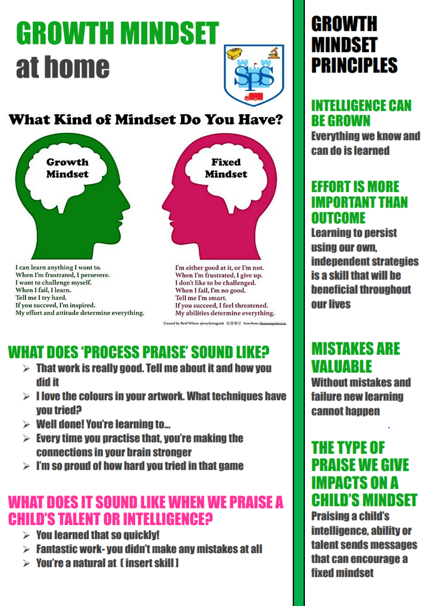# **GROWTH MINDSET** at home



### **What Kind of Mindset Do You Have?**



I can learn anything I want to. When I'm frustrated, I persevere. I want to challenge myself. When I fail, I learn. Tell me I try hard. If you succeed, I'm inspired. My effort and attitude determine everything.



I'm either good at it, or I'm not. When I'm frustrated, I give up. I don't like to be challenged. When I fail, I'm no good. Tell me I'm smart. If you succeed, I feel threatened. My abilities determine everything.

Created by: Reid Wilson @wayfaringpath @ @ @ Loon from: thenounproject.co

## **WHAT DOES 'PROCESS PRAISE' SOUND LIKE?**

- $>$  That work is really good. Tell me about it and how you ti hih
- $> 1$  love the colours in your artwork. What techniques have **Shairt uov**
- $\triangleright$  Well done! You're learning to...
- $\triangleright$  Every time you practise that, you're making the **connections in your brain stronger**
- $>$  I'm so proud of how hard you tried in that game

## **WHAT DOES IT SOUND LIKE WHEN WE PRAISE A CHILD'S TALENT OR INTELLIGENCEP**

- $\triangleright$  You learned that so quickly!
- $\triangleright$  Fantastic work-you didn't make any mistakes at all
- $\triangleright$  You're a natural at  $\blacksquare$  insert skill I

## **GROWTH MINDSET PRINCIPLES**

## **INTELLIGENCE CAN BE GROWN**

**Everything we know and** can do is learned

### **EFFORT IS MORE IMPORTANT THAN OUTCOME**

**Learning to persist** using our own. **independent strategies** is a skill that will be **beneficial throughout OUT lives** 

## **MISTAKES ARE VALUARLE**

**Without mistakes and failure new learning cannot hannen** 

### **THE TYPE OF PRAISE WE GIVE IMPACTS ON A CHILD'S MINDSET**

**Praising a child's** intelligence, ability or talent sends messages that can encourage a **fixed mindset**